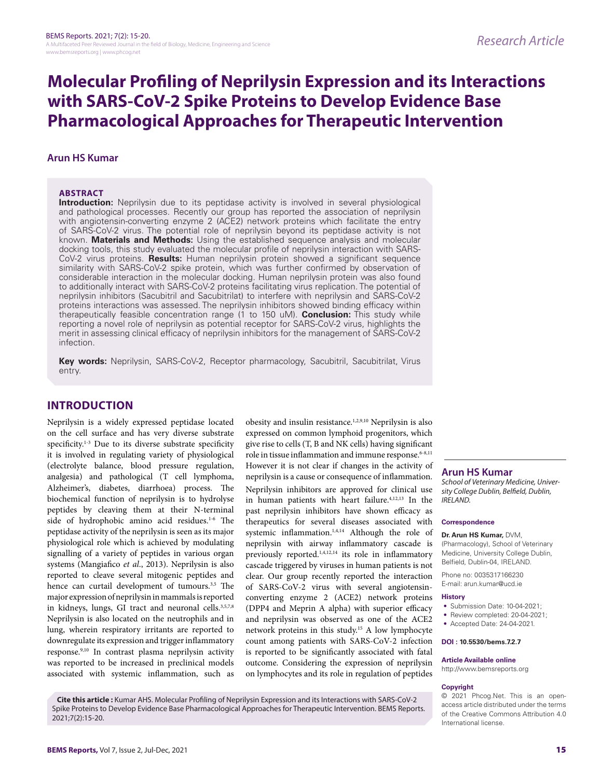## **Molecular Profiling of Neprilysin Expression and its Interactions with SARS-CoV-2 Spike Proteins to Develop Evidence Base Pharmacological Approaches for Therapeutic Intervention**

## **Arun HS Kumar**

### **ABSTRACT**

**Introduction:** Neprilysin due to its peptidase activity is involved in several physiological and pathological processes. Recently our group has reported the association of neprilysin with angiotensin-converting enzyme 2 (ACE2) network proteins which facilitate the entry of SARS-CoV-2 virus. The potential role of neprilysin beyond its peptidase activity is not known. **Materials and Methods:** Using the established sequence analysis and molecular docking tools, this study evaluated the molecular profile of neprilysin interaction with SARS-CoV-2 virus proteins. **Results:** Human neprilysin protein showed a significant sequence similarity with SARS-CoV-2 spike protein, which was further confirmed by observation of considerable interaction in the molecular docking. Human neprilysin protein was also found to additionally interact with SARS-CoV-2 proteins facilitating virus replication. The potential of neprilysin inhibitors (Sacubitril and Sacubitrilat) to interfere with neprilysin and SARS-CoV-2 proteins interactions was assessed. The neprilysin inhibitors showed binding efficacy within therapeutically feasible concentration range (1 to 150 uM). **Conclusion:** This study while reporting a novel role of neprilysin as potential receptor for SARS-CoV-2 virus, highlights the merit in assessing clinical efficacy of neprilysin inhibitors for the management of SARS-CoV-2 infection.

Key words: Neprilysin, SARS-CoV-2, Receptor pharmacology, Sacubitril, Sacubitrilat, Virus entry.

## **INTRODUCTION**

Neprilysin is a widely expressed peptidase located on the cell surface and has very diverse substrate specificity.<sup>1-3</sup> Due to its diverse substrate specificity it is involved in regulating variety of physiological (electrolyte balance, blood pressure regulation, analgesia) and pathological (T cell lymphoma, Alzheimer's, diabetes, diarrhoea) process. The biochemical function of neprilysin is to hydrolyse peptides by cleaving them at their N-terminal side of hydrophobic amino acid residues.<sup>1-6</sup> The peptidase activity of the neprilysin is seen as its major physiological role which is achieved by modulating signalling of a variety of peptides in various organ systems (Mangiafico *et al*., 2013). Neprilysin is also reported to cleave several mitogenic peptides and hence can curtail development of tumours.<sup>3,5</sup> The major expression of neprilysin in mammals is reported in kidneys, lungs, GI tract and neuronal cells.<sup>3,5,7,8</sup> Neprilysin is also located on the neutrophils and in lung, wherein respiratory irritants are reported to downregulate its expression and trigger inflammatory response.9,10 In contrast plasma neprilysin activity was reported to be increased in preclinical models associated with systemic inflammation, such as

obesity and insulin resistance.1,2,9,10 Neprilysin is also expressed on common lymphoid progenitors, which give rise to cells (T, B and NK cells) having significant role in tissue inflammation and immune response.<sup>6-8,11</sup> However it is not clear if changes in the activity of neprilysin is a cause or consequence of inflammation. Neprilysin inhibitors are approved for clinical use in human patients with heart failure.4,12,13 In the past neprilysin inhibitors have shown efficacy as therapeutics for several diseases associated with systemic inflammation.1,4,14 Although the role of neprilysin with airway inflammatory cascade is previously reported.<sup>1,4,12,14</sup> its role in inflammatory cascade triggered by viruses in human patients is not clear. Our group recently reported the interaction of SARS-CoV-2 virus with several angiotensinconverting enzyme 2 (ACE2) network proteins (DPP4 and Meprin A alpha) with superior efficacy and neprilysin was observed as one of the ACE2 network proteins in this study.15 A low lymphocyte count among patients with SARS-CoV-2 infection is reported to be significantly associated with fatal outcome. Considering the expression of neprilysin on lymphocytes and its role in regulation of peptides

**Arun HS Kumar**

*School of Veterinary Medicine, University College Dublin, Belfield, Dublin, IRELAND.*

#### **Correspondence**

**Dr. Arun HS Kumar,** DVM, (Pharmacology), School of Veterinary Medicine, University College Dublin, Belfield, Dublin-04, IRELAND.

Phone no: 0035317166230 E-mail: arun.kumar@ucd.ie

#### **History**

- Submission Date: 10-04-2021;
- Review completed: 20-04-2021;
- Accepted Date: 24-04-2021.

#### **DOI : 10.5530/bems.7.2.7**

#### **Article Available online**

http://www.bemsreports.org

#### **Copyright**

© 2021 Phcog.Net. This is an openaccess article distributed under the terms of the Creative Commons Attribution 4.0 International license.

**Cite this article :** Kumar AHS. Molecular Profiling of Neprilysin Expression and its Interactions with SARS-CoV-2 Spike Proteins to Develop Evidence Base Pharmacological Approaches for Therapeutic Intervention. BEMS Reports. 2021;7(2):15-20.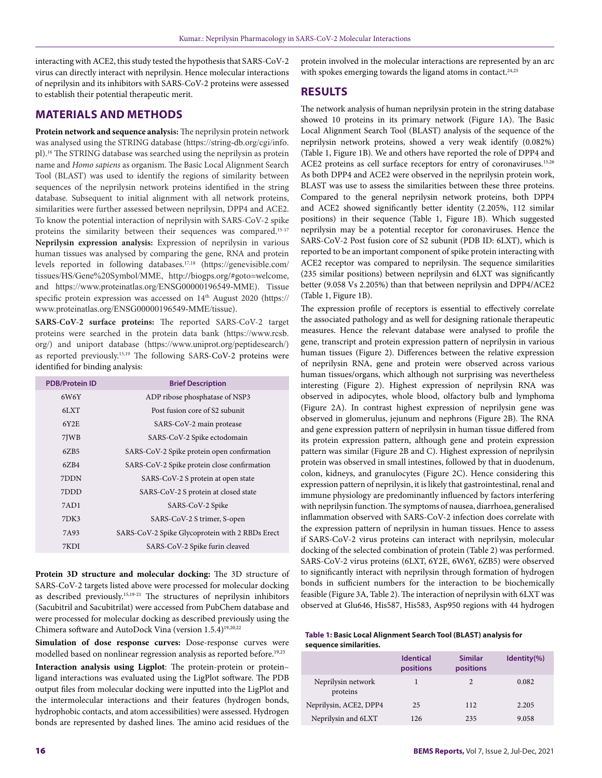interacting with ACE2, this study tested the hypothesis that SARS-CoV-2 virus can directly interact with neprilysin. Hence molecular interactions of neprilysin and its inhibitors with SARS-CoV-2 proteins were assessed to establish their potential therapeutic merit.

## **MATERIALS AND METHODS**

**Protein network and sequence analysis:** The neprilysin protein network was analysed using the STRING database (https://string-db.org/cgi/info. pl).16 The STRING database was searched using the neprilysin as protein name and *Homo sapiens* as organism. The Basic Local Alignment Search Tool (BLAST) was used to identify the regions of similarity between sequences of the neprilysin network proteins identified in the string database. Subsequent to initial alignment with all network proteins, similarities were further assessed between neprilysin, DPP4 and ACE2. To know the potential interaction of neprilysin with SARS-CoV-2 spike proteins the similarity between their sequences was compared.<sup>15-17</sup> **Neprilysin expression analysis:** Expression of neprilysin in various human tissues was analysed by comparing the gene, RNA and protein levels reported in following databases.17,18 (https://genevisible.com/ tissues/HS/Gene%20Symbol/MME, http://biogps.org/#goto=welcome, and https://www.proteinatlas.org/ENSG00000196549-MME). Tissue specific protein expression was accessed on 14<sup>th</sup> August 2020 (https:// www.proteinatlas.org/ENSG00000196549-MME/tissue).

**SARS-CoV-2 surface proteins:** The reported SARS-CoV-2 target proteins were searched in the protein data bank (https://www.rcsb. org/) and uniport database (https://www.uniprot.org/peptidesearch/) as reported previously.15,19 The following SARS-CoV-2 proteins were identified for binding analysis:

| <b>PDB/Protein ID</b> | <b>Brief Description</b>                        |
|-----------------------|-------------------------------------------------|
| 6W6Y                  | ADP ribose phosphatase of NSP3                  |
| 6LXT                  | Post fusion core of S2 subunit                  |
| 6Y2E                  | SARS-CoV-2 main protease                        |
| 7JWB                  | SARS-CoV-2 Spike ectodomain                     |
| 6ZB5                  | SARS-CoV-2 Spike protein open confirmation      |
| 6ZB4                  | SARS-CoV-2 Spike protein close confirmation     |
| 7DDN                  | SARS-CoV-2 S protein at open state              |
| 7DDD                  | SARS-CoV-2 S protein at closed state            |
| 7AD1                  | SARS-CoV-2 Spike                                |
| 7DK3                  | SARS-CoV-2 S trimer, S-open                     |
| 7A93                  | SARS-CoV-2 Spike Glycoprotein with 2 RBDs Erect |
| 7KDI                  | SARS-CoV-2 Spike furin cleaved                  |

**Protein 3D structure and molecular docking:** The 3D structure of SARS-CoV-2 targets listed above were processed for molecular docking as described previously.15,19-21 The structures of neprilysin inhibitors (Sacubitril and Sacubitrilat) were accessed from PubChem database and were processed for molecular docking as described previously using the Chimera software and AutoDock Vina (version 1.5.4)19,20,22

**Simulation of dose response curves:** Dose-response curves were modelled based on nonlinear regression analysis as reported before.<sup>19,23</sup>

**Interaction analysis using Ligplot**: The protein-protein or protein– ligand interactions was evaluated using the LigPlot software. The PDB output files from molecular docking were inputted into the LigPlot and the intermolecular interactions and their features (hydrogen bonds, hydrophobic contacts, and atom accessibilities) were assessed. Hydrogen bonds are represented by dashed lines. The amino acid residues of the

protein involved in the molecular interactions are represented by an arc with spokes emerging towards the ligand atoms in contact.<sup>24,25</sup>

## **RESULTS**

The network analysis of human neprilysin protein in the string database showed 10 proteins in its primary network (Figure 1A). The Basic Local Alignment Search Tool (BLAST) analysis of the sequence of the neprilysin network proteins, showed a very weak identify (0.082%) (Table 1, Figure 1B). We and others have reported the role of DPP4 and ACE2 proteins as cell surface receptors for entry of coronaviruses.15,26 As both DPP4 and ACE2 were observed in the neprilysin protein work, BLAST was use to assess the similarities between these three proteins. Compared to the general neprilysin network proteins, both DPP4 and ACE2 showed significantly better identity (2.205%, 112 similar positions) in their sequence (Table 1, Figure 1B). Which suggested neprilysin may be a potential receptor for coronaviruses. Hence the SARS-CoV-2 Post fusion core of S2 subunit (PDB ID: 6LXT), which is reported to be an important component of spike protein interacting with ACE2 receptor was compared to neprilysin. The sequence similarities (235 similar positions) between neprilysin and 6LXT was significantly better (9.058 Vs 2.205%) than that between neprilysin and DPP4/ACE2 (Table 1, Figure 1B).

The expression profile of receptors is essential to effectively correlate the associated pathology and as well for designing rationale therapeutic measures. Hence the relevant database were analysed to profile the gene, transcript and protein expression pattern of neprilysin in various human tissues (Figure 2). Differences between the relative expression of neprilysin RNA, gene and protein were observed across various human tissues/organs, which although not surprising was nevertheless interesting (Figure 2). Highest expression of neprilysin RNA was observed in adipocytes, whole blood, olfactory bulb and lymphoma (Figure 2A). In contrast highest expression of neprilysin gene was observed in glomerulus, jejunum and nephrons (Figure 2B). The RNA and gene expression pattern of neprilysin in human tissue differed from its protein expression pattern, although gene and protein expression pattern was similar (Figure 2B and C). Highest expression of neprilysin protein was observed in small intestines, followed by that in duodenum, colon, kidneys, and granulocytes (Figure 2C). Hence considering this expression pattern of neprilysin, it is likely that gastrointestinal, renal and immune physiology are predominantly influenced by factors interfering with neprilysin function. The symptoms of nausea, diarrhoea, generalised inflammation observed with SARS-CoV-2 infection does correlate with the expression pattern of neprilysin in human tissues. Hence to assess if SARS-CoV-2 virus proteins can interact with neprilysin, molecular docking of the selected combination of protein (Table 2) was performed. SARS-CoV-2 virus proteins (6LXT, 6Y2E, 6W6Y, 6ZB5) were observed to significantly interact with neprilysin through formation of hydrogen bonds in sufficient numbers for the interaction to be biochemically feasible (Figure 3A, Table 2). The interaction of neprilysin with 6LXT was observed at Glu646, His587, His583, Asp950 regions with 44 hydrogen

#### **Table 1: Basic Local Alignment Search Tool (BLAST) analysis for sequence similarities.**

|                                | <b>Identical</b><br>positions | <b>Similar</b><br>positions | $Identity$ (%) |
|--------------------------------|-------------------------------|-----------------------------|----------------|
| Neprilysin network<br>proteins |                               | 2                           | 0.082          |
| Neprilysin, ACE2, DPP4         | 25                            | 112                         | 2.205          |
| Neprilysin and 6LXT            | 126                           | 235                         | 9.058          |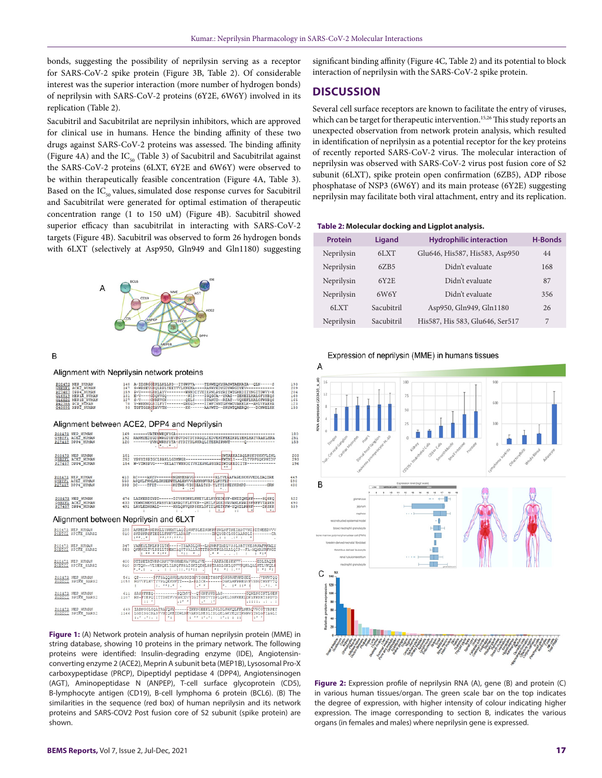bonds, suggesting the possibility of neprilysin serving as a receptor for SARS-CoV-2 spike protein (Figure 3B, Table 2). Of considerable interest was the superior interaction (more number of hydrogen bonds) of neprilysin with SARS-CoV-2 proteins (6Y2E, 6W6Y) involved in its replication (Table 2).

Sacubitril and Sacubitrilat are neprilysin inhibitors, which are approved for clinical use in humans. Hence the binding affinity of these two drugs against SARS-CoV-2 proteins was assessed. The binding affinity (Figure 4A) and the  $IC_{50}$  (Table 3) of Sacubitril and Sacubitrilat against the SARS-CoV-2 proteins (6LXT, 6Y2E and 6W6Y) were observed to be within therapeutically feasible concentration (Figure 4A, Table 3). Based on the  $IC_{50}$  values, simulated dose response curves for Sacubitril and Sacubitrilat were generated for optimal estimation of therapeutic concentration range (1 to 150 uM) (Figure 4B). Sacubitril showed superior efficacy than sacubitrilat in interacting with SARS-CoV-2 targets (Figure 4B). Sacubitril was observed to form 26 hydrogen bonds with 6LXT (selectively at Asp950, Gln949 and Gln1180) suggesting



B

Alignment with Neprilysin network proteins

| PO8473 NEP HUMAN<br>Q9BYF1 ACEZ HUMAN<br>P27487 DPP4 HUMAN<br>Q16819 MEP1X HUMAN<br>OL6820 MEPIB HUMAN<br>P42785 PCP HUMAN<br>043895 XPPZ HUMAN | 148 A-IDSRGGEPLLKLLPD--IYGWPVA----TENWEQKYGASWTAEKAIA--QLN-----S<br>167 S-WRSEVGKOLRPLYEEYVVLKNEMA----RANHYEDYGDYWRGDYEV------------<br>159 P-V----GEKLAYV--------WNNDIYVKIEPNLPSYRITWTGKEDIIYNGITDWVY-E<br>131 E-V----GDORVCO---------NIS----IGOGCA--YKAI--IEREILHALGFYREOS<br>127 S-V----GWERVCK-------GELS----IGANCD--RIAT--VOREFLRALGFWREOS<br>78 Y-WKKNGGBILFYI-------GWEGD----IIWFCNNIGFMMUVAEELK--AMLVFAERR<br>93 TGFTGSAGTAVVIM--------KK------AAVWTD--SRYWTOAEROM---DCNWELHK | 193<br>209<br>204<br>168<br>165<br>123<br>133 |
|-------------------------------------------------------------------------------------------------------------------------------------------------|---------------------------------------------------------------------------------------------------------------------------------------------------------------------------------------------------------------------------------------------------------------------------------------------------------------------------------------------------------------------------------------------------------------------------------------------------------------------------------------|-----------------------------------------------|
|                                                                                                                                                 | Alignment between ACE2, DPP4 and Neprilysin                                                                                                                                                                                                                                                                                                                                                                                                                                           |                                               |
| PO8473 NEP HUMAN                                                                                                                                | 169 ------- VATENWEOKYGA+-----------<br>OBRYFI ACEZ HUMAN 192 RANHYEDYGDYWRGDYEVNGVDGYDYSRGQLIEDVEHTFEEIKPLYEHLHAYVRAKLMNA<br>227487 DPP4 HUMAN 120 ------YVKQWRHSYTA-SYDIYDLNKRQLITEERIPNNT-----Q-----------<br>192 RANHYEDYGDYWRGDYEVNGVDGYDYSRGOLIEDVEHTFEEIKPLYEHLHAYVRAKLMNA<br>$1 + 1 + 1 + 1 = 1$                                                                                                                                                                              | 180<br>251<br>153                             |
| P08473 NEP HUMAN<br>POS473 NEP HUMAN<br>Q9BYE1 ACEZ_HUMAN<br>P27487 DPP4_HUMAN                                                                  | 154 W-VTWSPVG----HKLAYVWNNDIYVKIEPNLPSYRITWTGKEDIIYN------------                                                                                                                                                                                                                                                                                                                                                                                                                      | 203<br>293<br>196                             |
| P27487 DPP4 HUMAN                                                                                                                               | 393 DC----TFIT------- KGTWE-VIGLEALTSD-YLYYISNEYKGMPG----------GRN<br>$1 - 100$                                                                                                                                                                                                                                                                                                                                                                                                       | 449<br>590<br>430                             |
|                                                                                                                                                 | ROB478 NEP HUMAN<br>OSBYEL ACEE HUMAN MASS AS YEMNOMENTLERSUNXAMENTLERLANDERES/FVANLERPEYTARING AND THE SOURCE PREFITARING AND ES<br><u>RIVAS</u> DEPA_HUMAN 491 LAVIERNBALD-----RHLONVONSEKKLDFIILBET#FW-YQNILPREFIT---DRSKK<br>the control of the control of the<br>$-1$                                                                                                                                                                                                            | 522<br>690<br>539                             |
|                                                                                                                                                 | Alignment between Neprilysin and 6LXT                                                                                                                                                                                                                                                                                                                                                                                                                                                 |                                               |
|                                                                                                                                                 | 288 AKPEDR-NDPNLLYNRMILAQIQNNFSLEINGKPFSWLNFTNEIMSTVNI\$ITNEEDVVV<br><b>**:**:****</b><br>$-1$ $-1$ $-1$ $+1$ $+$ $-1$                                                                                                                                                                                                                                                                                                                                                                |                                               |
|                                                                                                                                                 | EXPLANATION CONTROL IN THE REPORT OF THE REPORT OF THE REPORT OF THE REPORT OF THE REPORT OF THE REPORT OF THE REPORT OF THE REPORT OF THE REPORT OF THE REPORT OF THE REPORT OF THE REPORT OF THE REPORT OF THE REPORT OF THE                                                                                                                                                                                                                                                        |                                               |
|                                                                                                                                                 | state and a second transfer and the state of the state of the state of the state of the state of the state of<br>1. 2.1. 2.1.                                                                                                                                                                                                                                                                                                                                                         |                                               |
|                                                                                                                                                 | $\mathbf{r}$<br>Published and the<br>1.7.1.                                                                                                                                                                                                                                                                                                                                                                                                                                           |                                               |
|                                                                                                                                                 | POSATS NEP HUNAN (11 SASNEKEO---------- POCHVY--OTGNESNDLAG----------GOHLNGINTLGEN<br>PODICS SPIKE_SARSS (107 RN-FYEPO1ITIDNIEVS NNCDVYIGIYNNIVYDPLOPELDSEKEELDKYFRNHISPDVD<br>$1 + 1 + 1 = 1$<br>$11 - 8$<br>$-2222 - 12 - 22$                                                                                                                                                                                                                                                       |                                               |
|                                                                                                                                                 | $1.7.74.1$ $1.71.$<br>In the study of the second con-<br>$1 + 1$<br>__                                                                                                                                                                                                                                                                                                                                                                                                                |                                               |

**Figure 1:** (A) Network protein analysis of human neprilysin protein (MME) in string database, showing 10 proteins in the primary network. The following proteins were identified: Insulin-degrading enzyme (IDE), Angiotensinconverting enzyme 2 (ACE2), Meprin A subunit beta (MEP1B), Lysosomal Pro-X carboxypeptidase (PRCP), Dipeptidyl peptidase 4 (DPP4), Angiotensinogen (AGT), Aminopeptidase N (ANPEP), T-cell surface glycoprotein (CD5), B-lymphocyte antigen (CD19), B-cell lymphoma 6 protein (BCL6). (B) The similarities in the sequence (red box) of human neprilysin and its network proteins and SARS-COV2 Post fusion core of S2 subunit (spike protein) are shown.

significant binding affinity (Figure 4C, Table 2) and its potential to block interaction of neprilysin with the SARS-CoV-2 spike protein.

## **DISCUSSION**

Several cell surface receptors are known to facilitate the entry of viruses, which can be target for therapeutic intervention.<sup>15,26</sup> This study reports an unexpected observation from network protein analysis, which resulted in identification of neprilysin as a potential receptor for the key proteins of recently reported SARS-CoV-2 virus. The molecular interaction of neprilysin was observed with SARS-CoV-2 virus post fusion core of S2 subunit (6LXT), spike protein open confirmation (6ZB5), ADP ribose phosphatase of NSP3 (6W6Y) and its main protease (6Y2E) suggesting neprilysin may facilitate both viral attachment, entry and its replication.

|  | Table 2: Molecular docking and Ligplot analysis. |  |  |  |
|--|--------------------------------------------------|--|--|--|
|--|--------------------------------------------------|--|--|--|

| Ligand     | <b>Hydrophilic interaction</b>  | <b>H-Bonds</b> |
|------------|---------------------------------|----------------|
| 6LXT       | Glu646, His587, His583, Asp950  | 44             |
| 6ZB5       | Didn't evaluate                 | 168            |
| 6Y2E       | Didn't evaluate                 | 87             |
| 6W6Y       | Didn't evaluate                 | 356            |
| Sacubitril | Asp950, Gln949, Gln1180         | 26             |
| Sacubitril | His587, His 583, Glu646, Ser517 | 7              |
|            |                                 |                |





**Figure 2:** Expression profile of neprilysin RNA (A), gene (B) and protein (C) in various human tissues/organ. The green scale bar on the top indicates the degree of expression, with higher intensity of colour indicating higher expression. The image corresponding to section B, indicates the various organs (in females and males) where neprilysin gene is expressed.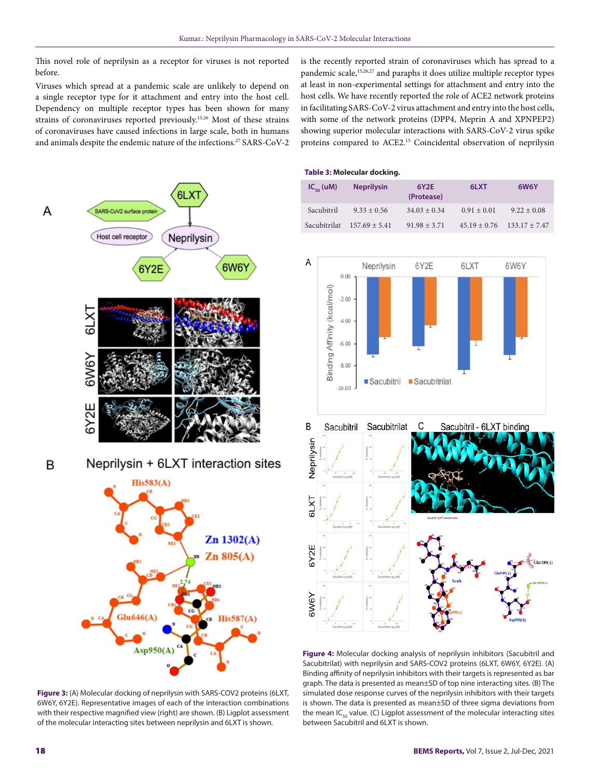This novel role of neprilysin as a receptor for viruses is not reported before.

Viruses which spread at a pandemic scale are unlikely to depend on a single receptor type for it attachment and entry into the host cell. Dependency on multiple receptor types has been shown for many strains of coronaviruses reported previously.15,26 Most of these strains of coronaviruses have caused infections in large scale, both in humans and animals despite the endemic nature of the infections.<sup>27</sup> SARS-CoV-2 is the recently reported strain of coronaviruses which has spread to a pandemic scale,<sup>15,26,27</sup> and paraphs it does utilize multiple receptor types at least in non-experimental settings for attachment and entry into the host cells. We have recently reported the role of ACE2 network proteins in facilitating SARS-CoV-2 virus attachment and entry into the host cells, with some of the network proteins (DPP4, Meprin A and XPNPEP2) showing superior molecular interactions with SARS-CoV-2 virus spike proteins compared to ACE2.15 Coincidental observation of neprilysin

# $6L$ SARS-CoV2 surface prote Host cell receptor Neprilysin 6W6Y 6Y2E  $6Y2I$ Neprilysin + 6LXT interaction sites B  $His583(A)$



**Figure 3:** (A) Molecular docking of neprilysin with SARS-COV2 proteins (6LXT, 6W6Y, 6Y2E). Representative images of each of the interaction combinations with their respective magnified view (right) are shown. (B) Ligplot assessment of the molecular interacting sites between neprilysin and 6LXT is shown.

|  |  | Table 3: Molecular docking. |  |
|--|--|-----------------------------|--|
|--|--|-----------------------------|--|

| $IC_{\epsilon_0}$ (uM) | <b>Neprilysin</b>              | 6Y2E<br>(Protease) | 6LXT            | 6W6Y                               |
|------------------------|--------------------------------|--------------------|-----------------|------------------------------------|
| Sacubitril             | $9.33 \pm 0.56$                | $34.03 \pm 0.34$   | $0.91 \pm 0.01$ | $9.22 \pm 0.08$                    |
|                        | Sacubitrilat $157.69 \pm 5.41$ | $91.98 \pm 3.71$   |                 | $45.19 \pm 0.76$ $133.17 \pm 7.47$ |



**Figure 4:** Molecular docking analysis of neprilysin inhibitors (Sacubitril and Sacubitrilat) with neprilysin and SARS-COV2 proteins (6LXT, 6W6Y, 6Y2E). (A) Binding affinity of neprilysin inhibitors with their targets is represented as bar graph. The data is presented as mean±SD of top nine interacting sites. (B) The simulated dose response curves of the neprilysin inhibitors with their targets is shown. The data is presented as mean±SD of three sigma deviations from the mean IC<sub>50</sub> value. (C) Ligplot assessment of the molecular interacting sites between Sacubitril and 6LXT is shown.

Α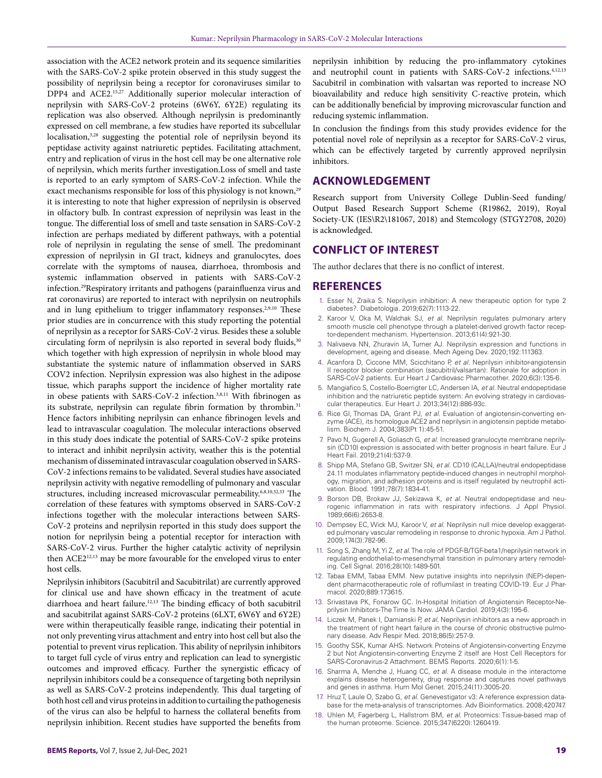association with the ACE2 network protein and its sequence similarities with the SARS-CoV-2 spike protein observed in this study suggest the possibility of neprilysin being a receptor for coronaviruses similar to DPP4 and ACE2.<sup>15,27</sup> Additionally superior molecular interaction of neprilysin with SARS-CoV-2 proteins (6W6Y, 6Y2E) regulating its replication was also observed. Although neprilysin is predominantly expressed on cell membrane, a few studies have reported its subcellular localisation,<sup>3,28</sup> suggesting the potential role of neprilysin beyond its peptidase activity against natriuretic peptides. Facilitating attachment, entry and replication of virus in the host cell may be one alternative role of neprilysin, which merits further investigation.Loss of smell and taste is reported to an early symptom of SARS-CoV-2 infection. While the exact mechanisms responsible for loss of this physiology is not known,<sup>29</sup> it is interesting to note that higher expression of neprilysin is observed in olfactory bulb. In contrast expression of neprilysin was least in the tongue. The differential loss of smell and taste sensation in SARS-CoV-2 infection are perhaps mediated by different pathways, with a potential role of neprilysin in regulating the sense of smell. The predominant expression of neprilysin in GI tract, kidneys and granulocytes, does correlate with the symptoms of nausea, diarrhoea, thrombosis and systemic inflammation observed in patients with SARS-CoV-2 infection.29Respiratory irritants and pathogens (parainfluenza virus and rat coronavirus) are reported to interact with neprilysin on neutrophils and in lung epithelium to trigger inflammatory responses.<sup>2,9,10</sup> These prior studies are in concurrence with this study reporting the potential of neprilysin as a receptor for SARS-CoV-2 virus. Besides these a soluble circulating form of neprilysin is also reported in several body fluids,<sup>30</sup> which together with high expression of neprilysin in whole blood may substantiate the systemic nature of inflammation observed in SARS COV2 infection. Neprilysin expression was also highest in the adipose tissue, which paraphs support the incidence of higher mortality rate in obese patients with SARS-CoV-2 infection.3,8,11 With fibrinogen as its substrate, neprilysin can regulate fibrin formation by thrombin.<sup>31</sup> Hence factors inhibiting neprilysin can enhance fibrinogen levels and lead to intravascular coagulation. The molecular interactions observed in this study does indicate the potential of SARS-CoV-2 spike proteins to interact and inhibit neprilysin activity, weather this is the potential mechanism of disseminated intravascular coagulation observed in SARS-CoV-2 infections remains to be validated. Several studies have associated neprilysin activity with negative remodelling of pulmonary and vascular structures, including increased microvascular permeability.<sup>6,8,10,32,33</sup> The correlation of these features with symptoms observed in SARS-CoV-2 infections together with the molecular interactions between SARS-CoV-2 proteins and neprilysin reported in this study does support the notion for neprilysin being a potential receptor for interaction with SARS-CoV-2 virus. Further the higher catalytic activity of neprilysin then ACE2<sup>12,13</sup> may be more favourable for the enveloped virus to enter host cells.

Neprilysin inhibitors (Sacubitril and Sacubitrilat) are currently approved for clinical use and have shown efficacy in the treatment of acute diarrhoea and heart failure.<sup>12,13</sup> The binding efficacy of both sacubitril and sacubitrilat against SARS-CoV-2 proteins (6LXT, 6W6Y and 6Y2E) were within therapeutically feasible range, indicating their potential in not only preventing virus attachment and entry into host cell but also the potential to prevent virus replication. This ability of neprilysin inhibitors to target full cycle of virus entry and replication can lead to synergistic outcomes and improved efficacy. Further the synergistic efficacy of neprilysin inhibitors could be a consequence of targeting both neprilysin as well as SARS-CoV-2 proteins independently. This dual targeting of both host cell and virus proteins in addition to curtailing the pathogenesis of the virus can also be helpful to harness the collateral benefits from neprilysin inhibition. Recent studies have supported the benefits from

neprilysin inhibition by reducing the pro-inflammatory cytokines and neutrophil count in patients with SARS-CoV-2 infections.4,12,13 Sacubitril in combination with valsartan was reported to increase NO bioavailability and reduce high sensitivity C-reactive protein, which can be additionally beneficial by improving microvascular function and reducing systemic inflammation.

In conclusion the findings from this study provides evidence for the potential novel role of neprilysin as a receptor for SARS-CoV-2 virus, which can be effectively targeted by currently approved neprilysin inhibitors.

## **ACKNOWLEDGEMENT**

Research support from University College Dublin-Seed funding/ Output Based Research Support Scheme (R19862, 2019), Royal Society-UK (IES\R2\181067, 2018) and Stemcology (STGY2708, 2020) is acknowledged.

## **CONFLICT OF INTEREST**

The author declares that there is no conflict of interest.

### **REFERENCES**

- 1. Esser N, Zraika S. Neprilysin inhibition: A new therapeutic option for type 2 diabetes?. Diabetologia. 2019;62(7):1113-22.
- 2. Karoor V, Oka M, Walchak SJ, *et al.* Neprilysin regulates pulmonary artery smooth muscle cell phenotype through a platelet-derived growth factor receptor-dependent mechanism. Hypertension. 2013;61(4):921-30.
- 3. Nalivaeva NN, Zhuravin IA, Turner AJ. Neprilysin expression and functions in development, ageing and disease. Mech Ageing Dev. 2020;192:111363.
- 4. Acanfora D, Ciccone MM, Scicchitano P, *et al.* Neprilysin inhibitor-angiotensin II receptor blocker combination (sacubitril/valsartan): Rationale for adoption in SARS-CoV-2 patients. Eur Heart J Cardiovasc Pharmacother. 2020;6(3):135-6.
- 5. Mangiafico S, Costello-Boerrigter LC, Andersen IA, *et al*. Neutral endopeptidase inhibition and the natriuretic peptide system: An evolving strategy in cardiovascular therapeutics. Eur Heart J. 2013;34(12):886-93c.
- 6. Rice GI, Thomas DA, Grant PJ, *et al*. Evaluation of angiotensin-converting enzyme (ACE), its homologue ACE2 and neprilysin in angiotensin peptide metabolism. Biochem J. 2004;383(Pt 1):45-51.
- 7. Pavo N, Gugerell A, Goliasch G, *et al*. Increased granulocyte membrane neprilysin (CD10) expression is associated with better prognosis in heart failure. Eur J Heart Fail. 2019;21(4):537-9.
- 8. Shipp MA, Stefano GB, Switzer SN, *et al*. CD10 (CALLA)/neutral endopeptidase 24.11 modulates inflammatory peptide-induced changes in neutrophil morphology, migration, and adhesion proteins and is itself regulated by neutrophil activation. Blood. 1991;78(7):1834-41.
- 9. Borson DB, Brokaw JJ, Sekizawa K, *et al.* Neutral endopeptidase and neurogenic inflammation in rats with respiratory infections. J Appl Physiol. 1989;66(6):2653-8.
- 10. Dempsey EC, Wick MJ, Karoor V, *et al.* Neprilysin null mice develop exaggerated pulmonary vascular remodeling in response to chronic hypoxia. Am J Pathol. 2009;174(3):782-96.
- 11. Song S, Zhang M, Yi Z, *et al*. The role of PDGF-B/TGF-beta1/neprilysin network in regulating endothelial-to-mesenchymal transition in pulmonary artery remodeling. Cell Signal. 2016;28(10):1489-501.
- 12. Tabaa EMM, Tabaa EMM. New putative insights into neprilysin (NEP)-dependent pharmacotherapeutic role of roflumilast in treating COVID-19. Eur J Pharmacol. 2020;889:173615.
- 13. Srivastava PK, Fonarow GC. In-Hospital Initiation of Angiotensin Receptor-Neprilysin Inhibitors-The Time Is Now. JAMA Cardiol. 2019;4(3):195-6.
- 14. Liczek M, Panek I, Damianski P, *et al.* Neprilysin inhibitors as a new approach in the treatment of right heart failure in the course of chronic obstructive pulmonary disease. Adv Respir Med. 2018;86(5):257-9.
- 15. Goothy SSK, Kumar AHS. Network Proteins of Angiotensin-converting Enzyme 2 but Not Angiotensin-converting Enzyme 2 itself are Host Cell Receptors for SARS-Coronavirus-2 Attachment. BEMS Reports. 2020;6(1):1-5.
- 16. Sharma A, Menche J, Huang CC, *et al*. A disease module in the interactome explains disease heterogeneity, drug response and captures novel pathways and genes in asthma. Hum Mol Genet. 2015;24(11):3005-20.
- 17. Hruz T, Laule O, Szabo G, *et al.* Genevestigator v3: A reference expression database for the meta-analysis of transcriptomes. Adv Bioinformatics. 2008;420747.
- 18. Uhlen M, Fagerberg L, Hallstrom BM, *et al.* Proteomics: Tissue-based map of the human proteome. Science. 2015;347(6220):1260419.